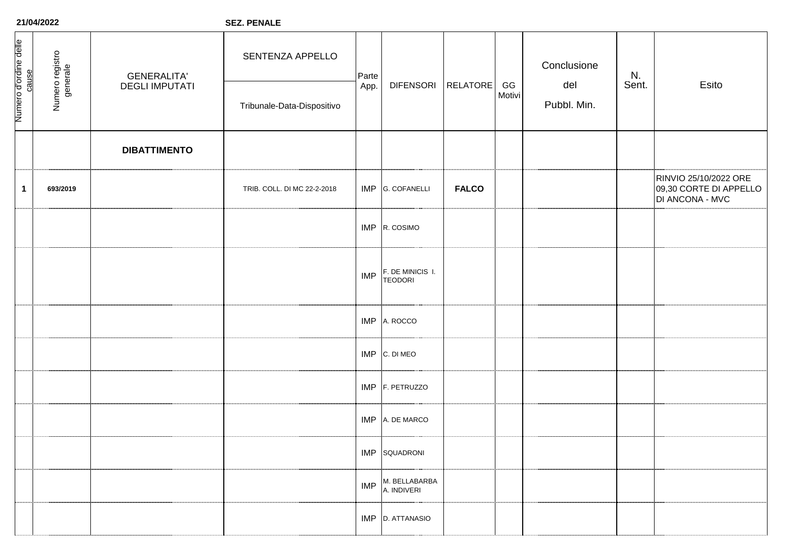| 21/04/2022                     |                             |                       | <b>SEZ. PENALE</b>          |               |                                    |                 |              |                                                  |  |                                                                    |
|--------------------------------|-----------------------------|-----------------------|-----------------------------|---------------|------------------------------------|-----------------|--------------|--------------------------------------------------|--|--------------------------------------------------------------------|
| Numero d'ordine delle<br>cause | Numero registro<br>generale | <b>GENERALITA'</b>    | SENTENZA APPELLO            | Parte<br>App. | <b>DIFENSORI</b>                   | <b>RELATORE</b> | GG<br>Motivi | Conclusione<br>N.<br>del<br>Sent.<br>Pubbl. Min. |  | Esito                                                              |
|                                |                             | <b>DEGLI IMPUTATI</b> | Tribunale-Data-Dispositivo  |               |                                    |                 |              |                                                  |  |                                                                    |
|                                |                             | <b>DIBATTIMENTO</b>   |                             |               |                                    |                 |              |                                                  |  |                                                                    |
| $\mathbf 1$                    | 693/2019                    |                       | TRIB. COLL. DI MC 22-2-2018 | IMP           | <b>G. COFANELLI</b>                | <b>FALCO</b>    |              |                                                  |  | RINVIO 25/10/2022 ORE<br>09,30 CORTE DI APPELLO<br>DI ANCONA - MVC |
|                                |                             |                       |                             |               | IMP R. COSIMO                      |                 |              |                                                  |  |                                                                    |
|                                |                             |                       |                             | IMP           | F. DE MINICIS I.<br><b>TEODORI</b> |                 |              |                                                  |  |                                                                    |
|                                |                             |                       |                             | IMP           | A. ROCCO                           |                 |              |                                                  |  |                                                                    |
|                                |                             |                       |                             | <b>IMP</b>    | C. DI MEO                          |                 |              |                                                  |  |                                                                    |
|                                |                             |                       |                             | <b>IMP</b>    | F. PETRUZZO                        |                 |              |                                                  |  |                                                                    |
|                                |                             |                       |                             | IMP           | A. DE MARCO                        |                 |              |                                                  |  |                                                                    |
|                                |                             |                       |                             |               | <b>IMP</b> SQUADRONI               |                 |              |                                                  |  |                                                                    |
|                                |                             |                       |                             | IMP           | M. BELLABARBA<br>A. INDIVERI       |                 |              |                                                  |  |                                                                    |
|                                |                             |                       |                             |               | IMP D. ATTANASIO                   |                 |              |                                                  |  |                                                                    |

**21/04/2022**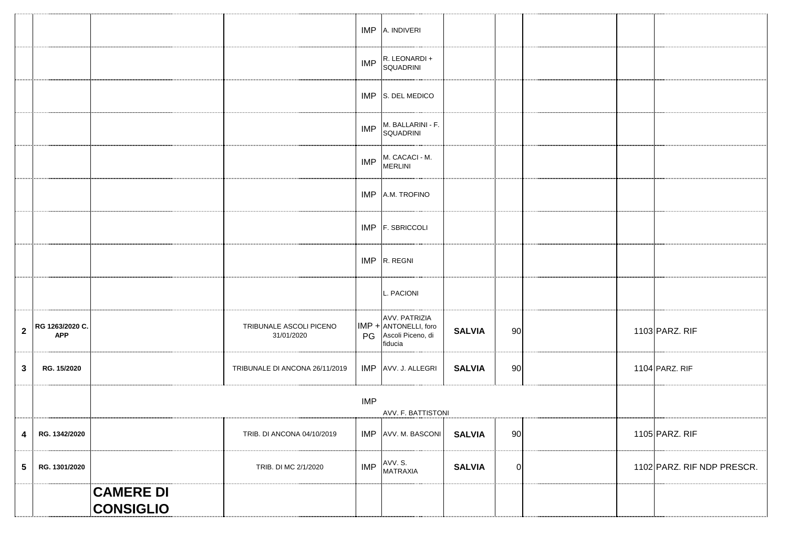|                         |                               |                                      |                                       |            | IMP A. INDIVERI                                                        |               |             |  |                            |
|-------------------------|-------------------------------|--------------------------------------|---------------------------------------|------------|------------------------------------------------------------------------|---------------|-------------|--|----------------------------|
|                         |                               |                                      |                                       | <b>IMP</b> | R. LEONARDI +<br>SQUADRINI                                             |               |             |  |                            |
|                         |                               |                                      |                                       |            | IMP S. DEL MEDICO                                                      |               |             |  |                            |
|                         |                               |                                      |                                       | <b>IMP</b> | M. BALLARINI - F.<br>SQUADRINI                                         |               |             |  |                            |
|                         |                               |                                      |                                       | IMP        | M. CACACI - M.<br>MERLINI                                              |               |             |  |                            |
|                         |                               |                                      |                                       |            | IMP A.M. TROFINO                                                       |               |             |  |                            |
|                         |                               |                                      |                                       |            | IMP F. SBRICCOLI                                                       |               |             |  |                            |
|                         |                               |                                      |                                       |            | IMP R. REGNI                                                           |               |             |  |                            |
|                         |                               |                                      |                                       |            | L. PACIONI                                                             |               |             |  |                            |
| $\mathbf 2$             | RG 1263/2020 C.<br><b>APP</b> |                                      | TRIBUNALE ASCOLI PICENO<br>31/01/2020 | PG         | AVV. PATRIZIA<br>IMP + ANTONELLI, foro<br>Ascoli Piceno, di<br>fiducia | <b>SALVIA</b> | 90          |  | 1103 PARZ. RIF             |
| $\mathbf{3}$            | RG. 15/2020                   |                                      | TRIBUNALE DI ANCONA 26/11/2019        |            | IMP AVV. J. ALLEGRI                                                    | <b>SALVIA</b> | 90          |  | 1104 PARZ. RIF             |
|                         |                               |                                      |                                       |            |                                                                        |               |             |  |                            |
| $\overline{\mathbf{4}}$ | RG. 1342/2020                 |                                      | TRIB. DI ANCONA 04/10/2019            |            | IMP AVV. M. BASCONI SALVIA                                             |               | 90          |  | 1105 PARZ. RIF             |
| $\overline{\mathbf{5}}$ | RG. 1301/2020                 |                                      | TRIB. DI MC 2/1/2020                  | <b>IMP</b> | AVV. S.<br>MATRAXIA                                                    | <b>SALVIA</b> | $\mathbf 0$ |  | 1102 PARZ. RIF NDP PRESCR. |
|                         |                               | <b>CAMERE DI</b><br><b>CONSIGLIO</b> |                                       |            |                                                                        |               |             |  |                            |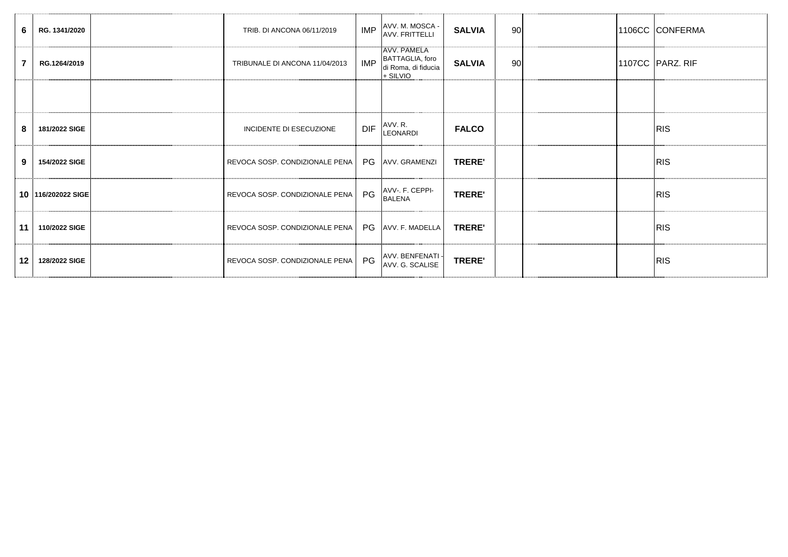| 6               | RG. 1341/2020      | TRIB. DI ANCONA 06/11/2019                            |            | IMP AVV. M. MOSCA -                                                       | <b>SALVIA</b> | 90 |  | 1106CC CONFERMA  |
|-----------------|--------------------|-------------------------------------------------------|------------|---------------------------------------------------------------------------|---------------|----|--|------------------|
|                 | RG.1264/2019       | TRIBUNALE DI ANCONA 11/04/2013                        | <b>IMP</b> | <b>TAVV. PAMELA</b><br>BATTAGLIA, foro<br>di Roma, di fiducia<br>+ SILVIO | <b>SALVIA</b> | 90 |  | 1107CC PARZ. RIF |
|                 |                    |                                                       |            |                                                                           |               |    |  |                  |
| 8               | 181/2022 SIGE      | <b>INCIDENTE DI ESECUZIONE</b>                        | <b>DIF</b> | AVV. R.<br>LEONARDI                                                       | <b>FALCO</b>  |    |  | <b>IRIS</b>      |
| 9               | 154/2022 SIGE      | REVOCA SOSP. CONDIZIONALE PENA   PG AVV. GRAMENZI     |            |                                                                           | <b>TRERE'</b> |    |  | <b>IRIS</b>      |
|                 | 10 116/202022 SIGE | REVOCA SOSP. CONDIZIONALE PENA PG                     |            | AVV-. F. CEPPI-<br><b>BALENA</b>                                          | <b>TRERE'</b> |    |  | <b>RIS</b>       |
| 11 <sup>1</sup> | 110/2022 SIGE      | REVOCA SOSP. CONDIZIONALE PENA   PG   AVV. F. MADELLA |            |                                                                           | <b>TRERE'</b> |    |  | <b>IRIS</b>      |
| 12 <sup>1</sup> | 128/2022 SIGE      | REVOCA SOSP. CONDIZIONALE PENA PG                     |            | AVV. BENFENATI -<br>AVV. G. SCALISE                                       | <b>TRERE'</b> |    |  | <b>IRIS</b>      |